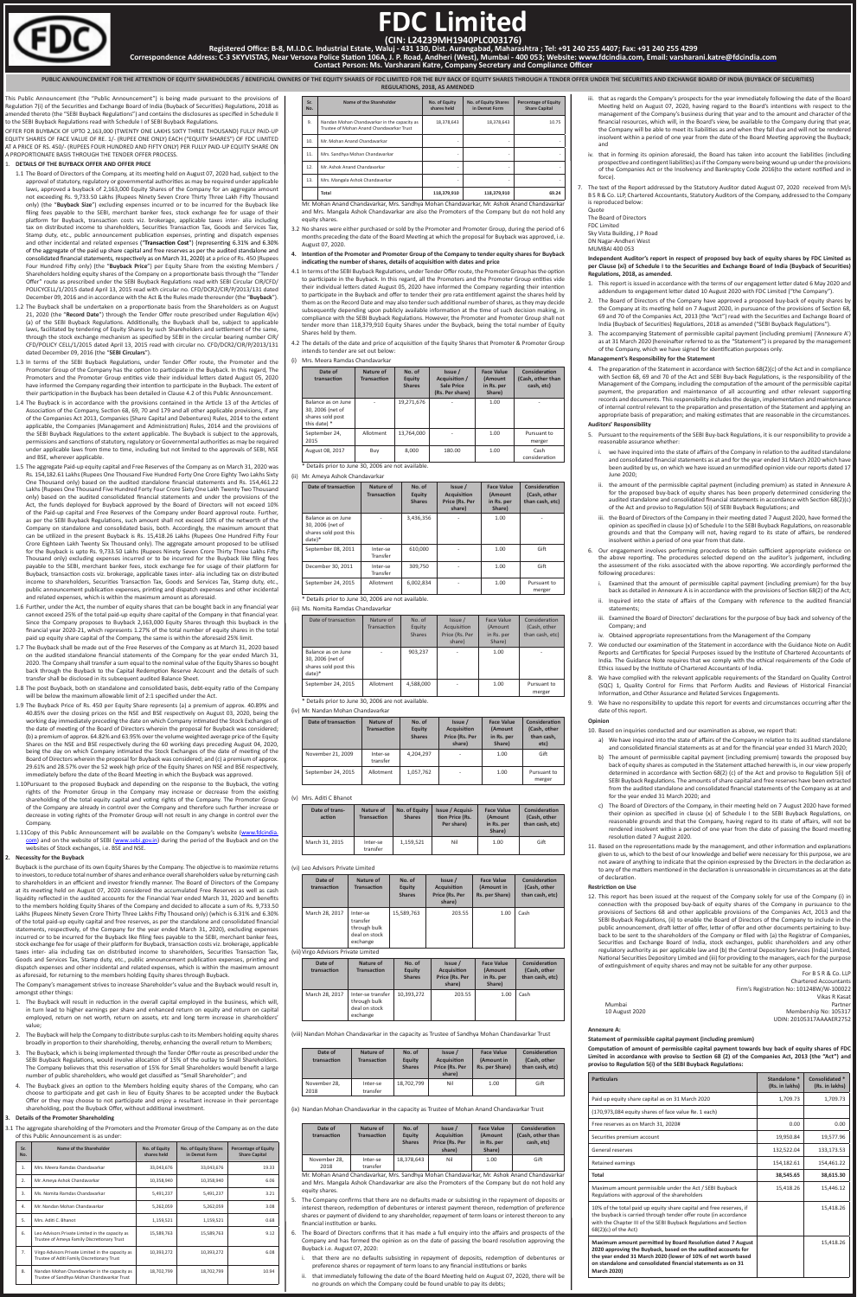This Public Announcement (the "Public Announcement") is being made pursuant to the provisions of Regulation 7(i) of the Securities and Exchange Board of India (Buyback of Securities) Regulations, 2018 as amended thereto (the "SEBI Buyback Regulations") and contains the disclosures as specified in Schedule II to the SEBI Buyback Regulations read with Schedule I of SEBI Buyback Regulations.

OFFER FOR BUYBACK OF UPTO 2,163,000 (TWENTY ONE LAKHS SIXTY THREE THOUSAND) FULLY PAID-UP EQUITY SHARES OF FACE VALUE OF RE. 1/- (RUPEE ONE ONLY) EACH ("EQUITY SHARES") OF FDC LIMITED AT A PRICE OF RS. 450/- (RUPEES FOUR HUNDRED AND FIFTY ONLY) PER FULLY PAID-UP EQUITY SHARE ON A PROPORTIONATE BASIS THROUGH THE TENDER OFFER PROCESS.

## 1. **DETAILS OF THE BUYBACK OFFER AND OFFER PRICE**

- 
- 1.11Copy of this Public Announcement will be available on the Company's website (www.fdcindia. com) and on the website of SEBI (www.sebi.gov.in) during the period of the Buyback and on the websites of Stock exchanges, i.e. BSE and NSE.
- 1.1 The Board of Directors of the Company, at its meeting held on August 07, 2020 had, subject to the approval of statutory, regulatory or governmental authorities as may be required under applicable laws, approved a buyback of 2,163,000 Equity Shares of the Company for an aggregate amount not exceeding Rs. 9,733.50 Lakhs (Rupees Ninety Seven Crore Thirty Three Lakh Fifty Thousand only) (the "**Buyback Size**") excluding expenses incurred or to be incurred for the Buyback like filing fees payable to the SEBI, merchant banker fees, stock exchange fee for usage of their platform for Buyback, transaction costs viz. brokerage, applicable taxes inter- alia including tax on distributed income to shareholders, Securities Transaction Tax, Goods and Services Tax, Stamp duty, etc., public announcement publication expenses, printing and dispatch expenses and other incidental and related expenses ("**Transaction Cost**") (representing 6.31% and 6.30% of the aggregate of the paid up share capital and free reserves as per the audited standalone and consolidated financial statements, respectively as on March 31, 2020) at a price of Rs. 450 (Rupees Four Hundred Fifty only) (the "Buyback Price") per Equity Share from the existing Members Shareholders holding equity shares of the Company on a proportionate basis through the "Tender Offer" route as prescribed under the SEBI Buyback Regulations read with SEBI Circular CIR/CFD/ POLICYCELL/1/2015 dated April 13, 2015 read with circular no. CFD/DCR2/CIR/P/2013/131 dated December 09, 2016 and in accordance with the Act & the Rules made thereunder (the "**Buyback**").
- 1.2 The Buyback shall be undertaken on a proportionate basis from the Shareholders as on August 21, 2020 (the "**Record Date**") through the Tender Offer route prescribed under Regulation 4(iv) (a) of the SEBI Buyback Regulations. Additionally, the Buyback shall be, subject to applicable laws, facilitated by tendering of Equity Shares by such Shareholders and settlement of the same, through the stock exchange mechanism as specified by SEBI in the circular bearing number CIR/ CFD/POLICY CELL/1/2015 dated April 13, 2015 read with circular no. CFD/DCR2/CIR/P/2013/131 dated December 09, 2016 (the "**SEBI Circulars**").
- 1.3 In terms of the SEBI Buyback Regulations, under Tender Offer route, the Promoter and the Promoter Group of the Company has the option to participate in the Buyback. In this regard, The Promoters and the Promoter Group entities vide their individual letters dated August 05, 2020 have informed the Company regarding their intention to participate in the Buyback. The extent of their participation in the Buyback has been detailed in Clause 4.2 of this Public Announcement.
- 1.4 The Buyback is in accordance with the provisions contained in the Article 13 of the Articles of Association of the Company, Section 68, 69, 70 and 179 and all other applicable provisions, if any of the Companies Act 2013, Companies (Share Capital and Debentures) Rules, 2014 to the extent applicable, the Companies (Management and Administration) Rules, 2014 and the provisions of the SEBI Buyback Regulations to the extent applicable. The Buyback is subject to the approvals, permissions and sanctions of statutory, regulatory or Governmental authorities as may be required under applicable laws from time to time, including but not limited to the approvals of SEBI, NSE and BSE, wherever applicable.
- 1.5 The aggregate Paid-up equity capital and Free Reserves of the Company as on March 31, 2020 was Rs. 154,182.61 Lakhs (Rupees One Thousand Five Hundred Forty One Crore Eighty Two Lakhs Sixty One Thousand only) based on the audited standalone financial statements and Rs. 154,461.22 Lakhs (Rupees One Thousand Five Hundred Forty Four Crore Sixty One Lakh Twenty Two Thousand only) based on the audited consolidated financial statements and under the provisions of the Act, the funds deployed for Buyback approved by the Board of Directors will not exceed 10% of the Paid-up capital and Free Reserves of the Company under Board approval route. Further, as per the SEBI Buyback Regulations, such amount shall not exceed 10% of the networth of the Company on standalone and consolidated basis, both. Accordingly, the maximum amount that can be utilized in the present Buyback is Rs. 15,418.26 Lakhs (Rupees One Hundred Fifty Four Crore Eighteen Lakh Twenty Six Thousand only). The aggregate amount proposed to be utilised for the Buyback is upto Rs. 9,733.50 Lakhs (Rupees Ninety Seven Crore Thirty Three Lakhs Fifty Thousand only) excluding expenses incurred or to be incurred for the Buyback like filing fees payable to the SEBI, merchant banker fees, stock exchange fee for usage of their platform for Buyback, transaction costs viz. brokerage, applicable taxes inter- alia including tax on distributed income to shareholders, Securities Transaction Tax, Goods and Services Tax, Stamp duty, etc., public announcement publication expenses, printing and dispatch expenses and other incidental and related expenses, which is within the maximum amount as aforesaid.
- 1.6 Further, under the Act, the number of equity shares that can be bought back in any financial year cannot exceed 25% of the total paid-up equity share capital of the Company in that financial year. Since the Company proposes to Buyback 2,163,000 Equity Shares through this buyback in the financial year 2020-21, which represents 1.27% of the total number of equity shares in the total paid up equity share capital of the Company, the same is within the aforesaid 25% limit.
- 1.7 The Buyback shall be made out of the Free Reserves of the Company as at March 31, 2020 based on the audited standalone financial statements of the Company for the year ended March 31, 2020. The Company shall transfer a sum equal to the nominal value of the Equity Shares so bought back through the Buyback to the Capital Redemption Reserve Account and the details of such transfer shall be disclosed in its subsequent audited Balance Sheet.
- 1.8 The post Buyback, both on standalone and consolidated basis, debt-equity ratio of the Company will be below the maximum allowable limit of 2:1 specified under the Act.
- 1.9 The Buyback Price of Rs. 450 per Equity Share represents (a) a premium of approx. 40.89% and 40.85% over the closing prices on the NSE and BSE respectively on August 03, 2020, being the working day immediately preceding the date on which Company intimated the Stock Exchanges of the date of meeting of the Board of Directors wherein the proposal for Buyback was considered; (b) a premium of approx. 64.82% and 63.95% over the volume weighted average price of the Equity Shares on the NSE and BSE respectively during the 60 working days preceding August 04, 2020, being the day on which Company intimated the Stock Exchanges of the date of meeting of the Board of Directors wherein the proposal for Buyback was considered; and (c) a premium of approx. 29.61% and 28.57% over the 52 week high price of the Equity Shares on NSE and BSE respectively, immediately before the date of the Board Meeting in which the Buyback was approved.
- 1.10Pursuant to the proposed Buyback and depending on the response to the Buyback, the voting rights of the Promoter Group in the Company may increase or decrease from the existing shareholding of the total equity capital and voting rights of the Company. The Promoter Group of the Company are already in control over the Company and therefore such further increase or decrease in voting rights of the Promoter Group will not result in any change in control over the Company.

Mr. Mohan Anand Chandavarkar, Mrs. Sandhya Mohan Chandavarkar, Mr. Ashok Anand Chandavarkar and Mrs. Mangala Ashok Chandavarkar are also the Promoters of the Company but do not hold any equity shares

#### **2. Necessity for the Buyback**

Buyback is the purchase of its own Equity Shares by the Company. The objective is to maximize returns to investors, to reduce total number of shares and enhance overall shareholders value by returning cash to shareholders in an efficient and investor friendly manner. The Board of Directors of the Company at its meeting held on August 07, 2020 considered the accumulated Free Reserves as well as cash liquidity reflected in the audited accounts for the Financial Year ended March 31, 2020 and benefits to the members holding Equity Shares of the Company and decided to allocate a sum of Rs. 9,733.50 Lakhs (Rupees Ninety Seven Crore Thirty Three Lakhs Fifty Thousand only) (which is 6.31% and 6.30% of the total paid-up equity capital and free reserves, as per the standalone and consolidated financial statements, respectively, of the Company for the year ended March 31, 2020), excluding expenses incurred or to be incurred for the Buyback like filing fees payable to the SEBI, merchant banker fees, stock exchange fee for usage of their platform for Buyback, transaction costs viz. brokerage, applicable taxes inter- alia including tax on distributed income to shareholders, Securities Transaction Tax, Goods and Services Tax, Stamp duty, etc., public announcement publication expenses, printing and dispatch expenses and other incidental and related expenses, which is within the maximum amount as aforesaid, for returning to the members holding Equity shares through Buyback.

The Company's management strives to increase Shareholder's value and the Buyback would result in, amongst other things:

- 1. The Buyback will result in reduction in the overall capital employed in the business, which will, in turn lead to higher earnings per share and enhanced return on equity and return on capital employed, return on net worth, return on assets, etc and long term increase in shareholders' value;
- 2. The Buyback will help the Company to distribute surplus cash to its Members holding equity shares broadly in proportion to their shareholding, thereby, enhancing the overall return to Members;
- 3. The Buyback, which is being implemented through the Tender Offer route as prescribed under the SEBI Buyback Regulations, would involve allocation of 15% of the outlay to Small Shareholders. The Company believes that this reservation of 15% for Small Shareholders would benefit a large number of public shareholders, who would get classified as "Small Shareholder"; and
- 4. The Buyback gives an option to the Members holding equity shares of the Company, who can choose to participate and get cash in lieu of Equity Shares to be accepted under the Buyback Offer or they may choose to not participate and enjoy a resultant increase in their percentage shareholding, post the Buyback Offer, without additional investment.

#### **3. Details of the Promoter Shareholding**

3.1 The aggregate shareholding of the Promoters and the Promoter Group of the Company as on the date of this Public Announcement is as under:

| Sr.<br>No.       | Name of the Shareholder                                                                          | No. of Equity<br>shares held | No. of Equity Shares<br>in Demat Form | <b>Percentage of Equity</b><br><b>Share Capital</b> |
|------------------|--------------------------------------------------------------------------------------------------|------------------------------|---------------------------------------|-----------------------------------------------------|
| 1.               | Mrs. Meera Ramdas Chandavarkar                                                                   | 33,043,676                   | 33,043,676                            | 19.33                                               |
| $\mathfrak{D}$ . | Mr. Ameya Ashok Chandavarkar                                                                     | 10,358,940                   | 10,358,940                            | 6.06                                                |
| 3.               | Ms. Nomita Ramdas Chandavarkar                                                                   | 5,491,237                    | 5,491,237                             | 3.21                                                |
| 4.               | Mr. Nandan Mohan Chandavarkar                                                                    | 5,262,059                    | 5,262,059                             | 3.08                                                |
| 5.               | Mrs. Aditi C. Bhanot                                                                             | 1,159,521                    | 1,159,521                             | 0.68                                                |
| 6.               | Leo Advisors Private Limited in the capacity as<br>Trustee of Ameya Family Discretionary Trust   | 15,589,763                   | 15,589,763                            | 9.12                                                |
| 7 <sub>1</sub>   | Virgo Advisors Private Limited in the capacity as<br>Trustee of Aditi Family Discretionary Trust | 10,393,272                   | 10,393,272                            | 6.08                                                |
| 8.               | Nandan Mohan Chandavarkar in the capacity as<br>Trustee of Sandhya Mohan Chandavarkar Trust      | 18,702,799                   | 18,702,799                            | 10.94                                               |

- a) We have inquired into the state of affairs of the Company in relation to its audited standalone and consolidated financial statements as at and for the financial year ended 31 March 2020;
- b) The amount of permissible capital payment (including premium) towards the proposed buy back of equity shares as computed in the Statement attached herewith is, in our view properly determined in accordance with Section 68(2) (c) of the Act and proviso to Regulation 5(i) of SEBI Buyback Regulations. The amounts of share capital and free reserves have been extracted from the audited standalone and consolidated financial statements of the Company as at and for the year ended 31 March 2020; and
- c) The Board of Directors of the Company, in their meeting held on 7 August 2020 have formed their opinion as specified in clause (x) of Schedule I to the SEBI Buyback Regulations, on reasonable grounds and that the Company, having regard to its state of affairs, will not b rendered insolvent within a period of one year from the date of passing the Board meeting resolution dated 7 August 2020.

| 1911.3. TVIV.V.I (2. INCLITIVACI.3. V.ITCH INTO VCH INCH   |                                 |                                          |                                                                         |                                                             |
|------------------------------------------------------------|---------------------------------|------------------------------------------|-------------------------------------------------------------------------|-------------------------------------------------------------|
| Date of<br>transaction                                     | Nature of<br><b>Transaction</b> | No. of<br><b>Equity</b><br><b>Shares</b> | Issue /<br><b>Acquisition /</b><br><b>Sale Price</b><br>(Rs. Per share) | <b>Face Value</b><br><b>(Amount</b><br>in Rs. per<br>Share) |
| Balance as on June<br>30, 2006 (net of<br>shares sold post |                                 | 19,271,676                               |                                                                         | 1.00                                                        |

- 3.2 No shares were either purchased or sold by the Promoter and Promoter Group, during the period of 6 months preceding the date of the Board Meeting at which the proposal for Buyback was approved, i.e. August 07, 2020.
- **4. Intention of the Promoter and Promoter Group of the Company to tender equity shares for Buyback indicating the number of shares, details of acquisition with dates and price**
- 4.1 In terms of the SEBI Buyback Regulations, under Tender Offer route, the Promoter Group has the option to participate in the Buyback. In this regard, all the Promoters and the Promoter Group entities vide their individual letters dated August 05, 2020 have informed the Company regarding their intention to participate in the Buyback and offer to tender their pro rata entitlement against the shares held by them as on the Record Date and may also tender such additional number of shares, as they may decide subsequently depending upon publicly available information at the time of such decision making, in compliance with the SEBI Buyback Regulations. However, the Promoter and Promoter Group shall not tender more than 118,379,910 Equity Shares under the Buyback, being the total number of Equity Shares held by them.
- 4.2 The details of the date and price of acquisition of the Equity Shares that Promoter & Promoter Group intends to tender are set out below:

## (i) Mrs. Meera Ramdas Chandavarkar

| Date of<br>transaction                                                     | Nature of<br><b>Transaction</b> | No. of<br>Equity<br><b>Shares</b> | Issue /<br>Acquisition /<br><b>Sale Price</b><br>(Rs. Per share) | <b>Face Value</b><br>(Amount<br>in Rs. per<br>Share) | Consideration<br>(Cash, other than<br>cash, etc) |
|----------------------------------------------------------------------------|---------------------------------|-----------------------------------|------------------------------------------------------------------|------------------------------------------------------|--------------------------------------------------|
| Balance as on June<br>30, 2006 (net of<br>shares sold post<br>this date) * | ٠                               | 19,271,676                        | $\overline{\phantom{a}}$                                         | 1.00                                                 | ٠                                                |
| September 24,<br>2015                                                      | Allotment                       | 13.764.000                        | ٠                                                                | 1.00                                                 | Pursuant to<br>merger                            |
| August 08, 2017                                                            | Buy                             | 8.000                             | 180.00                                                           | 1.00                                                 | Cash<br>consideration                            |

\* Details prior to June 30, 2006 are not available.

(ii) Mr. Ameya Ashok Chandavarkar

| <b>Date of transaction</b>                                                  | Nature of<br><b>Transaction</b> | No. of<br>Equity<br><b>Shares</b> | Issue /<br><b>Acquisition</b><br>Price (Rs. Per<br>share) | <b>Face Value</b><br>(Amount<br>in Rs. per<br>Share) | Consideration<br>(Cash, other<br>than cash, etc) |
|-----------------------------------------------------------------------------|---------------------------------|-----------------------------------|-----------------------------------------------------------|------------------------------------------------------|--------------------------------------------------|
| Balance as on June<br>30, 2006 (net of<br>shares sold post this<br>$date)*$ |                                 | 3,436,356                         |                                                           | 1.00                                                 |                                                  |
| September 08, 2011                                                          | Inter-se<br>Transfer            | 610,000                           |                                                           | 1.00                                                 | Gift                                             |
| December 30, 2011                                                           | Inter-se<br>Transfer            | 309,750                           |                                                           | 1.00                                                 | Gift                                             |
| September 24, 2015                                                          | Allotment                       | 6.002.834                         |                                                           | 1.00                                                 | Pursuant to<br>merger                            |

# Details prior to June 30, 2006 are not available.

(iii) Ms. Nomita Ramdas Chandavarkar

| Date of transaction                                                         | Nature of<br>Transaction | No. of<br>Equity<br><b>Shares</b> | Is sue/<br>Acquisition<br>Price (Rs. Per<br>share) | Face Value<br>(Amount<br>in Rs. per<br>Share) | Consideration<br>(Cash, other<br>than cash, etc) |
|-----------------------------------------------------------------------------|--------------------------|-----------------------------------|----------------------------------------------------|-----------------------------------------------|--------------------------------------------------|
| Balance as on June<br>30, 2006 (net of<br>shares sold post this<br>$date)*$ |                          | 903,237                           |                                                    | 1.00                                          |                                                  |
| September 24, 2015                                                          | Allotment                | 4,588,000                         |                                                    | 1.00                                          | Pursuant to<br>merger                            |

(iv) Mr. Nandan Mohan Chandavarkar

| Date of transaction | Nature of<br><b>Transaction</b> | No. of<br>Equity<br><b>Shares</b> | Issue /<br><b>Acquisition</b><br>Price (Rs. Per<br>share) | <b>Face Value</b><br>(Amount<br>in Rs. per<br>Share) | Consideration<br>(Cash, other<br>than cash,<br>etc) |
|---------------------|---------------------------------|-----------------------------------|-----------------------------------------------------------|------------------------------------------------------|-----------------------------------------------------|
| November 21, 2009   | Inter-se<br>transfer            | 4,204,297                         | ٠                                                         | 1.00                                                 | Gift                                                |
| September 24, 2015  | Allotment                       | 1,057,762                         | ٠                                                         | 1.00                                                 | Pursuant to<br>merger                               |

(v) Mrs. Aditi C Bhanot

| Date of trans-<br>action | Nature of<br><b>Transaction</b> | No. of Equity<br><b>Shares</b> | <b>Issue / Acquisi-</b><br>tion Price (Rs.<br>Per share) | <b>Face Value</b><br>(Amount<br>in Rs. per<br>Share) | Consideration<br>(Cash, other<br>than cash, etc) |
|--------------------------|---------------------------------|--------------------------------|----------------------------------------------------------|------------------------------------------------------|--------------------------------------------------|
| March 31, 2015           | Inter-se<br>transfer            | 1,159,521                      | Nil                                                      | 1.00                                                 | Gift                                             |

#### (vi) Leo Advisors Private Limited

| Date of<br>transaction               | Nature of<br><b>Transaction</b>                                   | No. of<br>Equity<br><b>Shares</b> | Issue /<br><b>Acquisition</b><br>Price (Rs. Per<br>share) | <b>Face Value</b><br>(Amount in<br>Rs. per Share) | Consideration<br>(Cash, other<br>than cash, etc) |
|--------------------------------------|-------------------------------------------------------------------|-----------------------------------|-----------------------------------------------------------|---------------------------------------------------|--------------------------------------------------|
| March 28, 2017                       | Inter-se<br>transfer<br>through bulk<br>deal on stock<br>exchange | 15,589,763                        | 203.55                                                    | 1.00                                              | Cash                                             |
| (vii) Virgo Advisors Private Limited |                                                                   |                                   |                                                           |                                                   |                                                  |

| Date of<br>transaction | <b>Nature of</b><br><b>Transaction</b>                         | No. of<br>Equity<br><b>Shares</b> | Issue /<br><b>Acquisition</b><br>Price (Rs. Per<br>share) | <b>Face Value</b><br>(Amount<br>in Rs. per<br>Share) | Consideration<br>(Cash, other<br>than cash. etc) |
|------------------------|----------------------------------------------------------------|-----------------------------------|-----------------------------------------------------------|------------------------------------------------------|--------------------------------------------------|
| March 28, 2017         | Inter-se transfer<br>through bulk<br>deal on stock<br>exchange | 10.393.272                        | 203.55                                                    | 1.00                                                 | Cash                                             |

(viii) Nandan Mohan Chandavarkar in the capacity as Trustee of Sandhya Mohan Chandavarkar Trust

| Date of<br>transaction | Nature of<br><b>Transaction</b> | No. of<br>Equity<br><b>Shares</b> | Issue /<br><b>Acquisition</b><br>Price (Rs. Per<br>share) | <b>Face Value</b><br>(Amount in<br>Rs. per Share) | Consideration<br>(Cash, other<br>than cash. etc) |
|------------------------|---------------------------------|-----------------------------------|-----------------------------------------------------------|---------------------------------------------------|--------------------------------------------------|
| November 28.<br>2018   | Inter-se<br>transfer            | 18,702,799                        | Nil                                                       | 1.00                                              | Gift                                             |

(ix) Nandan Mohan Chandavarkar in the capacity as Trustee of Mohan Anand Chandavarkar Trust

| Date of<br>transaction | Nature of<br><b>Transaction</b> | No. of<br>Equity<br><b>Shares</b> | Issue /<br><b>Acquisition</b><br>Price (Rs. Per<br>share) | <b>Face Value</b><br><b>(Amount</b><br>in Rs. per<br>Share) | Consideration<br>(Cash, other than<br>cash. etc) |
|------------------------|---------------------------------|-----------------------------------|-----------------------------------------------------------|-------------------------------------------------------------|--------------------------------------------------|
| November 28.<br>2018   | Inter-se<br>transfer            | 18,378,643                        | Nil                                                       | 1.00                                                        | Gift                                             |

Mr. Mohan Anand Chandavarkar, Mrs. Sandhya Mohan Chandavarkar, Mr. Ashok Anand Chandavarkar and Mrs. Mangala Ashok Chandavarkar are also the Promoters of the Company but do not hold any equity shares.

- 5. The Company confirms that there are no defaults made or subsisting in the repayment of deposits or interest thereon, redemption of debentures or interest payment thereon, redemption of preference shares or payment of dividend to any shareholder, repayment of term loans or interest thereon to any financial institution or banks.
- 6. The Board of Directors confirms that it has made a full enquiry into the affairs and prospects of the Company and has formed the opinion as on the date of passing the board resolution approving the Buyback i.e. August 07, 2020:
	- that there are no defaults subsisting in repayment of deposits, redemption of debentures or preference shares or repayment of term loans to any financial institutions or banks
	- ii. that immediately following the date of the Board Meeting held on August 07, 2020, there will be no grounds on which the Company could be found unable to pay its debts;
- iii. that as regards the Company's prospects for the year immediately following the date of the Board Meeting held on August 07, 2020, having regard to the Board's intentions with respect to the management of the Company's business during that year and to the amount and character of the financial resources, which will, in the Board's view, be available to the Company during that year, the Company will be able to meet its liabilities as and when they fall due and will not be rendered insolvent within a period of one year from the date of the Board Meeting approving the Buyback; and
- iv. that in forming its opinion aforesaid, the Board has taken into account the liabilities (including prospective and contingent liabilities) as if the Company were being wound up under the provisions of the Companies Act or the Insolvency and Bankruptcy Code 2016(to the extent notified and in force)
- 7. The text of the Report addressed by the Statutory Auditor dated August 07, 2020 received from M/s B S R & Co. LLP, Chartered Accountants, Statutory Auditors of the Company, addressed to the Company is reproduced below:
	- Quote The Board of Directors
	- FDC Limited

Sky Vista Building, J P Road

DN Nagar-Andheri West

## MUMBAI 400 053

**Independent Auditor's report in respect of proposed buy back of equity shares by FDC Limited as per Clause (xi) of Schedule I to the Securities and Exchange Board of India (Buyback of Securities) Regulations, 2018, as amended.**

| Sr.<br>No. | Name of the Shareholder                                                                   | No. of Equity<br>shares held | No. of Equity Shares<br>in Demat Form | <b>Percentage of Equity</b><br><b>Share Capital</b> |
|------------|-------------------------------------------------------------------------------------------|------------------------------|---------------------------------------|-----------------------------------------------------|
| 9.         | Nandan Mohan Chandavarkar in the capacity as<br>Trustee of Mohan Anand Chandavarkar Trust | 18,378,643                   | 18,378,643                            | 10.75                                               |
| 10.        | Mr. Mohan Anand Chandavarkar                                                              |                              |                                       |                                                     |
| 11.        | Mrs. Sandhya Mohan Chandavarkar                                                           |                              |                                       |                                                     |
| 12.        | Mr. Ashok Anand Chandavarkar                                                              |                              |                                       |                                                     |
| 13.        | Mrs. Mangala Ashok Chandavarkar                                                           |                              |                                       |                                                     |
|            | Total                                                                                     | 118,379,910                  | 118,379,910                           | 69.24                                               |

- 1. This report is issued in accordance with the terms of our engagement letter dated 6 May 2020 and addendum to engagement letter dated 10 August 2020 with FDC Limited ("the Company").
- The Board of Directors of the Company have approved a proposed buy-back of equity shares by the Company at its meeting held on 7 August 2020, in pursuance of the provisions of Section 68, 69 and 70 of the Companies Act, 2013 (the "Act") read with the Securities and Exchange Board of India (Buyback of Securities) Regulations, 2018 as amended ("SEBI Buyback Regulations").
- 3. The accompanying Statement of permissible capital payment (including premium) ('Annexure A') as at 31 March 2020 (hereinafter referred to as the "Statement") is prepared by the management of the Company, which we have signed for identification purposes only.

#### **Management's Responsibility for the Statement**

4. The preparation of the Statement in accordance with Section 68(2)(c) of the Act and in compliance with Section 68, 69 and 70 of the Act and SEBI Buy-back Regulations, is the responsibility of the Management of the Company, including the computation of the amount of the permissible capital payment, the preparation and maintenance of all accounting and other relevant supporting records and documents. This responsibility includes the design, implementation and maintenance of internal control relevant to the preparation and presentation of the Statement and applying an appropriate basis of preparation; and making estimates that are reasonable in the circumstances.

## **Auditors' Responsibility**

- 5. Pursuant to the requirements of the SEBI Buy-back Regulations, it is our responsibility to provide a reasonable assurance whether:
	- i. we have inquired into the state of affairs of the Company in relation to the audited standalone and consolidated financial statements as at and for the year ended 31 March 2020 which have been audited by us, on which we have issued an unmodified opinion vide our reports dated 17 June 2020;
	- ii. the amount of the permissible capital payment (including premium) as stated in Annexure A for the proposed buy-back of equity shares has been properly determined considering the audited standalone and consolidated financial statements in accordance with Section 68(2)(c) of the Act and proviso to Regulation 5(i) of SEBI Buyback Regulations; and
	- iii. the Board of Directors of the Company in their meeting dated 7 August 2020, have formed the opinion as specified in clause (x) of Schedule I to the SEBI Buyback Regulations, on reasonable grounds and that the Company will not, having regard to its state of affairs, be rendered insolvent within a period of one year from that date.
- 6. Our engagement involves performing procedures to obtain sufficient appropriate evidence on the above reporting. The procedures selected depend on the auditor's judgement, including the assessment of the risks associated with the above reporting. We accordingly performed the following procedures:
	- i. Examined that the amount of permissible capital payment (including premium) for the buy back as detailed in Annexure A is in accordance with the provisions of Section 68(2) of the Act;
- Inquired into the state of affairs of the Company with reference to the audited financial statements;
- iii. Examined the Board of Directors' declarations for the purpose of buy back and solvency of the Company; and
- iv. Obtained appropriate representations from the Management of the Company
- 7. We conducted our examination of the Statement in accordance with the Guidance Note on Audit Reports and Certificates for Special Purposes issued by the Institute of Chartered Accountants of India. The Guidance Note requires that we comply with the ethical requirements of the Code of Ethics issued by the Institute of Chartered Accountants of India.
- We have complied with the relevant applicable requirements of the Standard on Quality Control (SQC) 1, Quality Control for Firms that Perform Audits and Reviews of Historical Financial Information, and Other Assurance and Related Services Engagements.
- 9. We have no responsibility to update this report for events and circumstances occurring after the date of this report.

#### **Opinion**

## 10. Based on inquiries conducted and our examination as above, we report that:

11. Based on the representations made by the management, and other information and explanations given to us, which to the best of our knowledge and belief were necessary for this purpose, we are not aware of anything to indicate that the opinion expressed by the Directors in the declaration as to any of the matters mentioned in the declaration is unreasonable in circumstances as at the date of declaration.

#### **Restriction on Use**

12. This report has been issued at the request of the Company solely for use of the Company (i) in connection with the proposed buy-back of equity shares of the Company in pursuance to the provisions of Sections 68 and other applicable provisions of the Companies Act, 2013 and the SEBI Buyback Regulations, (ii) to enable the Board of Directors of the Company to include in the public announcement, draft letter of offer, letter of offer and other documents pertaining to buyback to be sent to the shareholders of the Company or filed with (a) the Registrar of Companies Securities and Exchange Board of India, stock exchanges, public shareholders and any other regulatory authority as per applicable law and (b) the Central Depository Services (India) Limited, National Securities Depository Limited and (iii) for providing to the managers, each for the purpose of extinguishment of equity shares and may not be suitable for any other purpose.

| For B S R & Co. LLP                      |                |
|------------------------------------------|----------------|
| <b>Chartered Accountants</b>             |                |
| Firm's Registration No: 101248W/W-100022 |                |
| Vikas R Kasat                            |                |
| Partner                                  | Mumbai         |
| Membership No: 105317                    | 10 August 2020 |
| <b>IIDIN: 20105317AAAAFR2752</b>         |                |

#### **Annexure A:**

#### **Statement of permissible capital payment (including premium)**

**Computation of amount of permissible capital payment towards buy back of equity shares of FDC Limited in accordance with proviso to Section 68 (2) of the Companies Act, 2013 (the "Act") and proviso to Regulation 5(i) of the SEBI Buyback Regulations:**

| <b>Particulars</b>                                                                                                                                                                                                                                                                  | Standalone *<br>(Rs. in lakhs) | Consolidated *<br>(Rs. in lakhs) |
|-------------------------------------------------------------------------------------------------------------------------------------------------------------------------------------------------------------------------------------------------------------------------------------|--------------------------------|----------------------------------|
| Paid up equity share capital as on 31 March 2020                                                                                                                                                                                                                                    | 1,709.73                       | 1,709.73                         |
| (170,973,084 equity shares of face value Re. 1 each)                                                                                                                                                                                                                                |                                |                                  |
| Free reserves as on March 31, 2020#                                                                                                                                                                                                                                                 | 0.00                           | 0.00                             |
| Securities premium account                                                                                                                                                                                                                                                          | 19,950.84                      | 19,577.96                        |
| General reserves                                                                                                                                                                                                                                                                    | 132,522.04                     | 133,173.53                       |
| <b>Retained earnings</b>                                                                                                                                                                                                                                                            | 154,182.61                     | 154,461.22                       |
| Total                                                                                                                                                                                                                                                                               | 38,545.65                      | 38,615.30                        |
| Maximum amount permissible under the Act / SEBI Buyback<br>Regulations with approval of the shareholders                                                                                                                                                                            | 15,418.26                      | 15,446.12                        |
| 10% of the total paid up equity share capital and free reserves, if<br>the buyback is carried through tender offer route (in accordance<br>with the Chapter III of the SEBI Buyback Regulations and Section<br>68(2)(c) of the Act)                                                 |                                | 15,418.26                        |
| Maximum amount permitted by Board Resolution dated 7 August<br>2020 approving the Buyback, based on the audited accounts for<br>the year ended 31 March 2020 (lower of 10% of net worth based<br>on standalone and consolidated financial statements as on 31<br><b>March 2020)</b> |                                | 15,418.26                        |



# **FDC Limited (CIN: L24239MH1940PLC003176)**

**Registered Office: B-8, M.I.D.C. Industrial Estate, Waluj - 431 130, Dist. Aurangabad, Maharashtra ; Tel: +91 240 255 4407; Fax: +91 240 255 4299**

**Correspondence Address: C-3 SKYVISTAS, Near Versova Police Station 106A, J. P. Road, Andheri (West), Mumbai - 400 053; Website: www.fdcindia.com, Email: varsharani.katre@fdcindia.com Contact Person: Ms. Varsharani Katre, Company Secretary and Compliance Officer** 

PUBLIC ANNOUNCEMENT FOR THE ATTENTION OF EQUITY SHAREHOLDERS / BENEFICIAL OWNERS OF THE EQUITY SHARES OF FDC LIMITED FOR THE BUY BACK OF EQUITY SHARES THROUGH A TENDER OFFER UNDER THE SECURITIES AND EXCHANGE BOARD OF INDIA